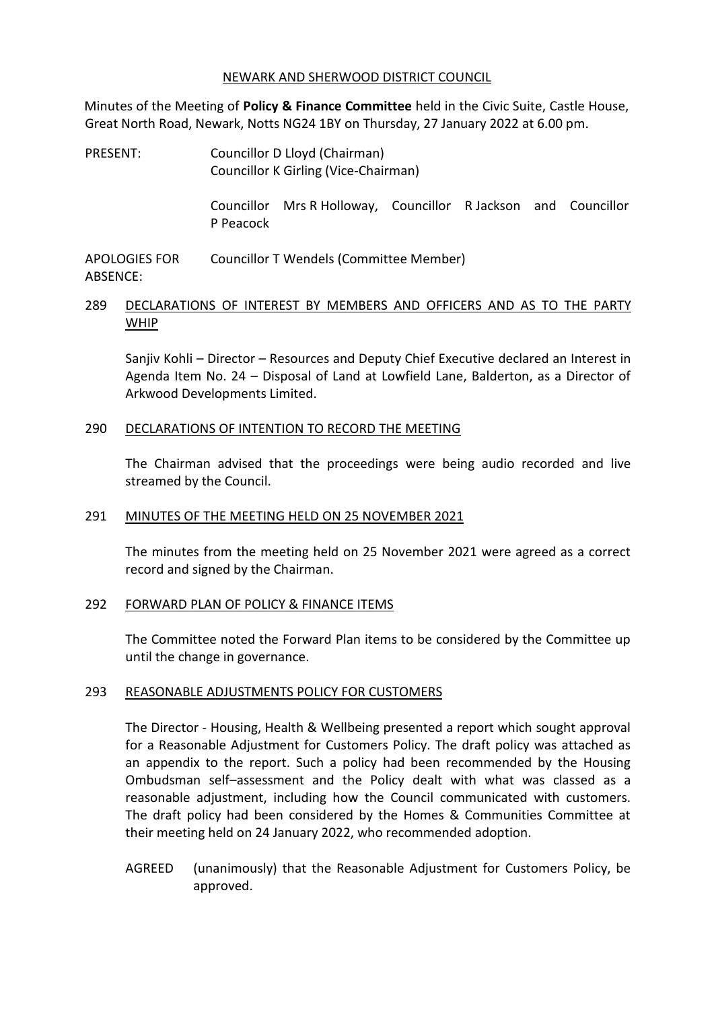#### NEWARK AND SHERWOOD DISTRICT COUNCIL

Minutes of the Meeting of **Policy & Finance Committee** held in the Civic Suite, Castle House, Great North Road, Newark, Notts NG24 1BY on Thursday, 27 January 2022 at 6.00 pm.

PRESENT: Councillor D Lloyd (Chairman) Councillor K Girling (Vice-Chairman)

> Councillor Mrs R Holloway, Councillor R Jackson and Councillor P Peacock

APOLOGIES FOR ABSENCE: Councillor T Wendels (Committee Member)

# 289 DECLARATIONS OF INTEREST BY MEMBERS AND OFFICERS AND AS TO THE PARTY WHIP

Sanjiv Kohli – Director – Resources and Deputy Chief Executive declared an Interest in Agenda Item No. 24 – Disposal of Land at Lowfield Lane, Balderton, as a Director of Arkwood Developments Limited.

#### 290 DECLARATIONS OF INTENTION TO RECORD THE MEETING

The Chairman advised that the proceedings were being audio recorded and live streamed by the Council.

# 291 MINUTES OF THE MEETING HELD ON 25 NOVEMBER 2021

The minutes from the meeting held on 25 November 2021 were agreed as a correct record and signed by the Chairman.

# 292 FORWARD PLAN OF POLICY & FINANCE ITEMS

The Committee noted the Forward Plan items to be considered by the Committee up until the change in governance.

# 293 REASONABLE ADJUSTMENTS POLICY FOR CUSTOMERS

The Director - Housing, Health & Wellbeing presented a report which sought approval for a Reasonable Adjustment for Customers Policy. The draft policy was attached as an appendix to the report. Such a policy had been recommended by the Housing Ombudsman self–assessment and the Policy dealt with what was classed as a reasonable adjustment, including how the Council communicated with customers. The draft policy had been considered by the Homes & Communities Committee at their meeting held on 24 January 2022, who recommended adoption.

AGREED (unanimously) that the Reasonable Adjustment for Customers Policy, be approved.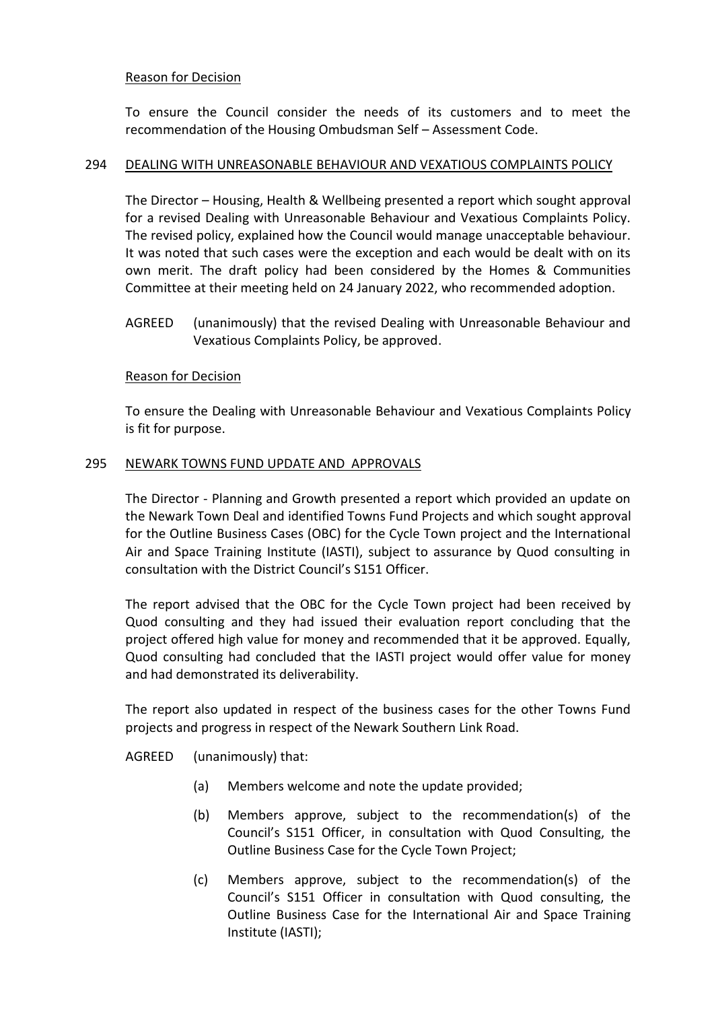To ensure the Council consider the needs of its customers and to meet the recommendation of the Housing Ombudsman Self – Assessment Code.

# 294 DEALING WITH UNREASONABLE BEHAVIOUR AND VEXATIOUS COMPLAINTS POLICY

The Director – Housing, Health & Wellbeing presented a report which sought approval for a revised Dealing with Unreasonable Behaviour and Vexatious Complaints Policy. The revised policy, explained how the Council would manage unacceptable behaviour. It was noted that such cases were the exception and each would be dealt with on its own merit. The draft policy had been considered by the Homes & Communities Committee at their meeting held on 24 January 2022, who recommended adoption.

AGREED (unanimously) that the revised Dealing with Unreasonable Behaviour and Vexatious Complaints Policy, be approved.

# Reason for Decision

To ensure the Dealing with Unreasonable Behaviour and Vexatious Complaints Policy is fit for purpose.

# 295 NEWARK TOWNS FUND UPDATE AND APPROVALS

The Director - Planning and Growth presented a report which provided an update on the Newark Town Deal and identified Towns Fund Projects and which sought approval for the Outline Business Cases (OBC) for the Cycle Town project and the International Air and Space Training Institute (IASTI), subject to assurance by Quod consulting in consultation with the District Council's S151 Officer.

The report advised that the OBC for the Cycle Town project had been received by Quod consulting and they had issued their evaluation report concluding that the project offered high value for money and recommended that it be approved. Equally, Quod consulting had concluded that the IASTI project would offer value for money and had demonstrated its deliverability.

The report also updated in respect of the business cases for the other Towns Fund projects and progress in respect of the Newark Southern Link Road.

AGREED (unanimously) that:

- (a) Members welcome and note the update provided;
- (b) Members approve, subject to the recommendation(s) of the Council's S151 Officer, in consultation with Quod Consulting, the Outline Business Case for the Cycle Town Project;
- (c) Members approve, subject to the recommendation(s) of the Council's S151 Officer in consultation with Quod consulting, the Outline Business Case for the International Air and Space Training Institute (IASTI);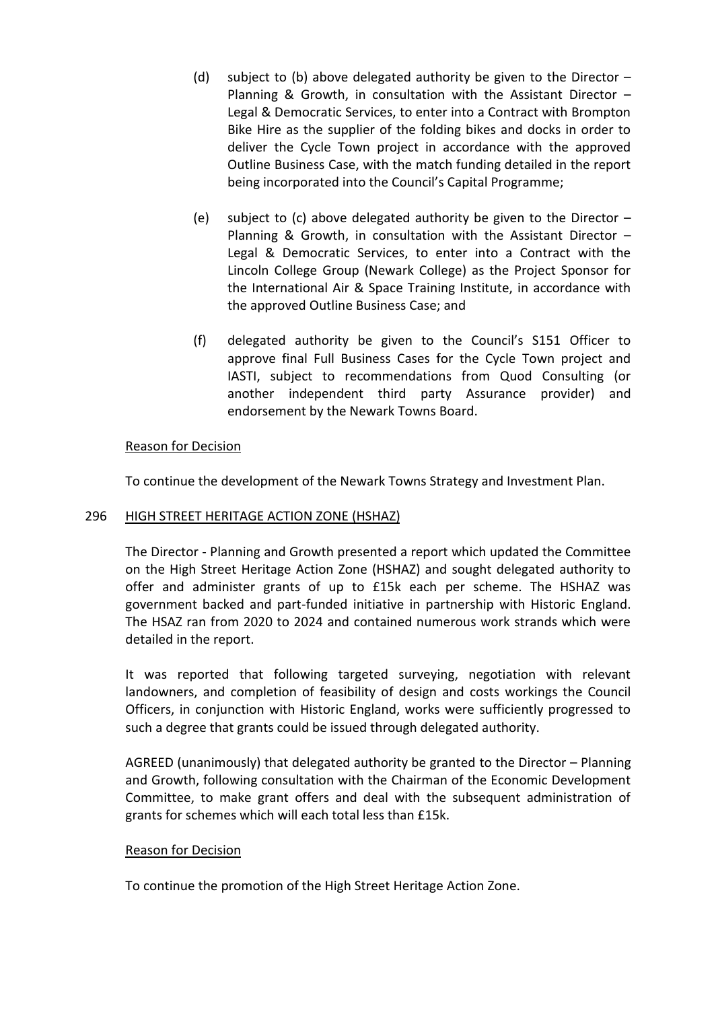- (d) subject to (b) above delegated authority be given to the Director  $-$ Planning & Growth, in consultation with the Assistant Director – Legal & Democratic Services, to enter into a Contract with Brompton Bike Hire as the supplier of the folding bikes and docks in order to deliver the Cycle Town project in accordance with the approved Outline Business Case, with the match funding detailed in the report being incorporated into the Council's Capital Programme;
- (e) subject to (c) above delegated authority be given to the Director  $-$ Planning & Growth, in consultation with the Assistant Director – Legal & Democratic Services, to enter into a Contract with the Lincoln College Group (Newark College) as the Project Sponsor for the International Air & Space Training Institute, in accordance with the approved Outline Business Case; and
- (f) delegated authority be given to the Council's S151 Officer to approve final Full Business Cases for the Cycle Town project and IASTI, subject to recommendations from Quod Consulting (or another independent third party Assurance provider) and endorsement by the Newark Towns Board.

To continue the development of the Newark Towns Strategy and Investment Plan.

# 296 HIGH STREET HERITAGE ACTION ZONE (HSHAZ)

The Director - Planning and Growth presented a report which updated the Committee on the High Street Heritage Action Zone (HSHAZ) and sought delegated authority to offer and administer grants of up to £15k each per scheme. The HSHAZ was government backed and part-funded initiative in partnership with Historic England. The HSAZ ran from 2020 to 2024 and contained numerous work strands which were detailed in the report.

It was reported that following targeted surveying, negotiation with relevant landowners, and completion of feasibility of design and costs workings the Council Officers, in conjunction with Historic England, works were sufficiently progressed to such a degree that grants could be issued through delegated authority.

AGREED (unanimously) that delegated authority be granted to the Director – Planning and Growth, following consultation with the Chairman of the Economic Development Committee, to make grant offers and deal with the subsequent administration of grants for schemes which will each total less than £15k.

#### Reason for Decision

To continue the promotion of the High Street Heritage Action Zone.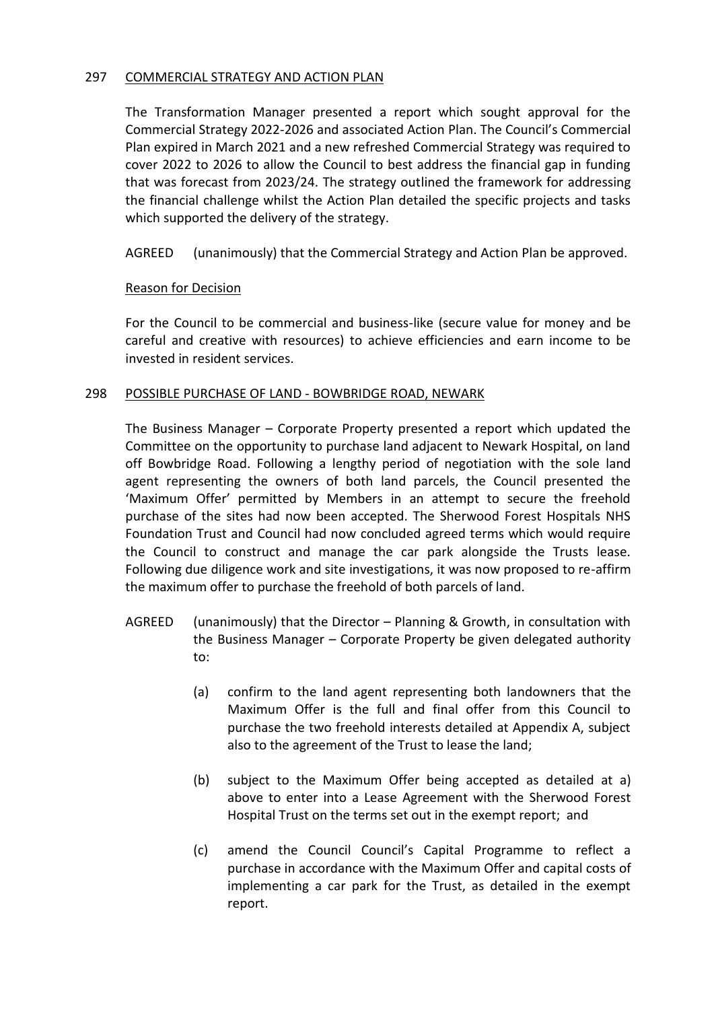# 297 COMMERCIAL STRATEGY AND ACTION PLAN

The Transformation Manager presented a report which sought approval for the Commercial Strategy 2022-2026 and associated Action Plan. The Council's Commercial Plan expired in March 2021 and a new refreshed Commercial Strategy was required to cover 2022 to 2026 to allow the Council to best address the financial gap in funding that was forecast from 2023/24. The strategy outlined the framework for addressing the financial challenge whilst the Action Plan detailed the specific projects and tasks which supported the delivery of the strategy.

AGREED (unanimously) that the Commercial Strategy and Action Plan be approved.

# Reason for Decision

For the Council to be commercial and business-like (secure value for money and be careful and creative with resources) to achieve efficiencies and earn income to be invested in resident services.

# 298 POSSIBLE PURCHASE OF LAND - BOWBRIDGE ROAD, NEWARK

The Business Manager – Corporate Property presented a report which updated the Committee on the opportunity to purchase land adjacent to Newark Hospital, on land off Bowbridge Road. Following a lengthy period of negotiation with the sole land agent representing the owners of both land parcels, the Council presented the 'Maximum Offer' permitted by Members in an attempt to secure the freehold purchase of the sites had now been accepted. The Sherwood Forest Hospitals NHS Foundation Trust and Council had now concluded agreed terms which would require the Council to construct and manage the car park alongside the Trusts lease. Following due diligence work and site investigations, it was now proposed to re-affirm the maximum offer to purchase the freehold of both parcels of land.

- AGREED (unanimously) that the Director Planning & Growth, in consultation with the Business Manager – Corporate Property be given delegated authority to:
	- (a) confirm to the land agent representing both landowners that the Maximum Offer is the full and final offer from this Council to purchase the two freehold interests detailed at Appendix A, subject also to the agreement of the Trust to lease the land;
	- (b) subject to the Maximum Offer being accepted as detailed at a) above to enter into a Lease Agreement with the Sherwood Forest Hospital Trust on the terms set out in the exempt report; and
	- (c) amend the Council Council's Capital Programme to reflect a purchase in accordance with the Maximum Offer and capital costs of implementing a car park for the Trust, as detailed in the exempt report.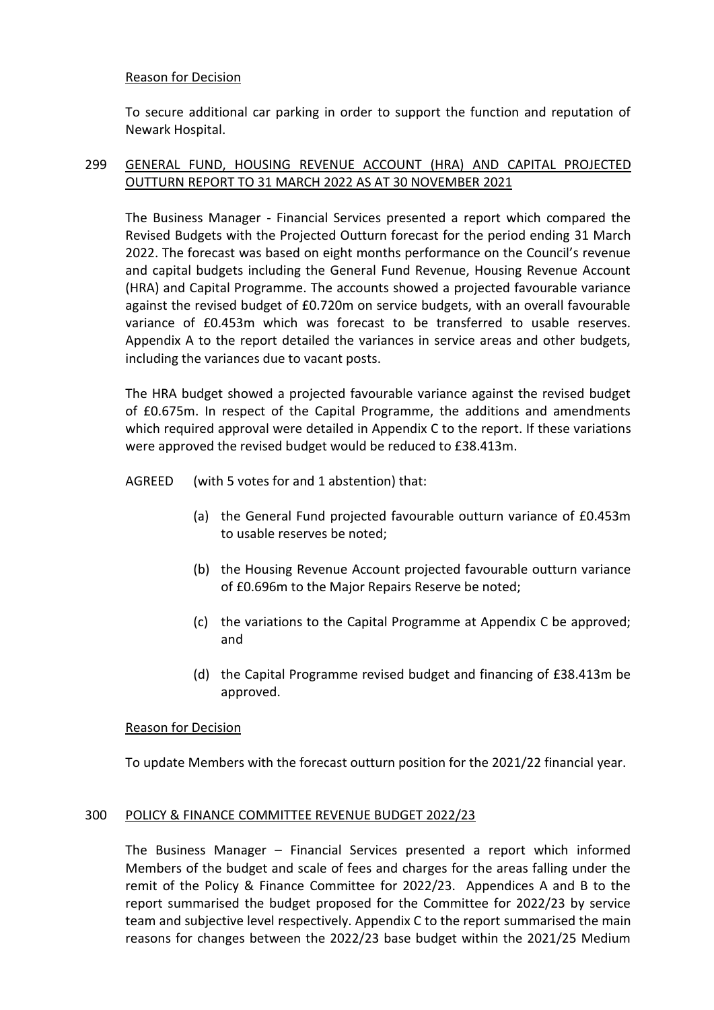To secure additional car parking in order to support the function and reputation of Newark Hospital.

# 299 GENERAL FUND, HOUSING REVENUE ACCOUNT (HRA) AND CAPITAL PROJECTED OUTTURN REPORT TO 31 MARCH 2022 AS AT 30 NOVEMBER 2021

The Business Manager - Financial Services presented a report which compared the Revised Budgets with the Projected Outturn forecast for the period ending 31 March 2022. The forecast was based on eight months performance on the Council's revenue and capital budgets including the General Fund Revenue, Housing Revenue Account (HRA) and Capital Programme. The accounts showed a projected favourable variance against the revised budget of £0.720m on service budgets, with an overall favourable variance of £0.453m which was forecast to be transferred to usable reserves. Appendix A to the report detailed the variances in service areas and other budgets, including the variances due to vacant posts.

The HRA budget showed a projected favourable variance against the revised budget of £0.675m. In respect of the Capital Programme, the additions and amendments which required approval were detailed in Appendix C to the report. If these variations were approved the revised budget would be reduced to £38.413m.

AGREED (with 5 votes for and 1 abstention) that:

- (a) the General Fund projected favourable outturn variance of £0.453m to usable reserves be noted;
- (b) the Housing Revenue Account projected favourable outturn variance of £0.696m to the Major Repairs Reserve be noted;
- (c) the variations to the Capital Programme at Appendix C be approved; and
- (d) the Capital Programme revised budget and financing of £38.413m be approved.

# Reason for Decision

To update Members with the forecast outturn position for the 2021/22 financial year.

# 300 POLICY & FINANCE COMMITTEE REVENUE BUDGET 2022/23

The Business Manager – Financial Services presented a report which informed Members of the budget and scale of fees and charges for the areas falling under the remit of the Policy & Finance Committee for 2022/23. Appendices A and B to the report summarised the budget proposed for the Committee for 2022/23 by service team and subjective level respectively. Appendix C to the report summarised the main reasons for changes between the 2022/23 base budget within the 2021/25 Medium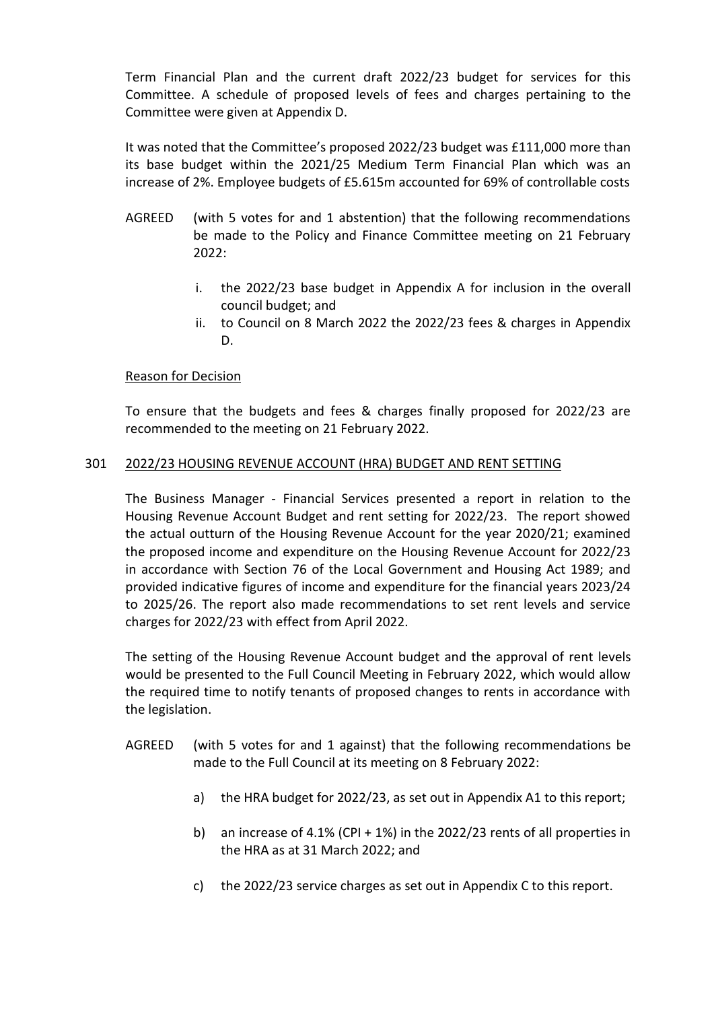Term Financial Plan and the current draft 2022/23 budget for services for this Committee. A schedule of proposed levels of fees and charges pertaining to the Committee were given at Appendix D.

It was noted that the Committee's proposed 2022/23 budget was £111,000 more than its base budget within the 2021/25 Medium Term Financial Plan which was an increase of 2%. Employee budgets of £5.615m accounted for 69% of controllable costs

- AGREED (with 5 votes for and 1 abstention) that the following recommendations be made to the Policy and Finance Committee meeting on 21 February 2022:
	- i. the 2022/23 base budget in Appendix A for inclusion in the overall council budget; and
	- ii. to Council on 8 March 2022 the 2022/23 fees & charges in Appendix D.

# Reason for Decision

To ensure that the budgets and fees & charges finally proposed for 2022/23 are recommended to the meeting on 21 February 2022.

# 301 2022/23 HOUSING REVENUE ACCOUNT (HRA) BUDGET AND RENT SETTING

The Business Manager - Financial Services presented a report in relation to the Housing Revenue Account Budget and rent setting for 2022/23. The report showed the actual outturn of the Housing Revenue Account for the year 2020/21; examined the proposed income and expenditure on the Housing Revenue Account for 2022/23 in accordance with Section 76 of the Local Government and Housing Act 1989; and provided indicative figures of income and expenditure for the financial years 2023/24 to 2025/26. The report also made recommendations to set rent levels and service charges for 2022/23 with effect from April 2022.

The setting of the Housing Revenue Account budget and the approval of rent levels would be presented to the Full Council Meeting in February 2022, which would allow the required time to notify tenants of proposed changes to rents in accordance with the legislation.

- AGREED (with 5 votes for and 1 against) that the following recommendations be made to the Full Council at its meeting on 8 February 2022:
	- a) the HRA budget for 2022/23, as set out in Appendix A1 to this report;
	- b) an increase of 4.1% (CPI + 1%) in the 2022/23 rents of all properties in the HRA as at 31 March 2022; and
	- c) the 2022/23 service charges as set out in Appendix C to this report.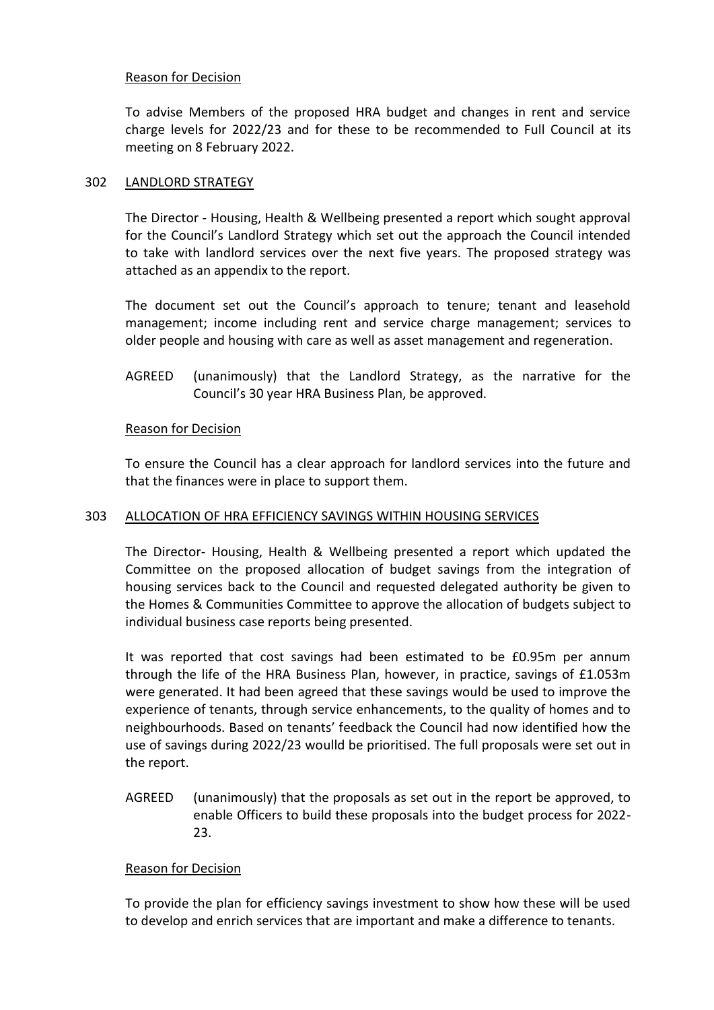To advise Members of the proposed HRA budget and changes in rent and service charge levels for 2022/23 and for these to be recommended to Full Council at its meeting on 8 February 2022.

# 302 LANDLORD STRATEGY

The Director - Housing, Health & Wellbeing presented a report which sought approval for the Council's Landlord Strategy which set out the approach the Council intended to take with landlord services over the next five years. The proposed strategy was attached as an appendix to the report.

The document set out the Council's approach to tenure; tenant and leasehold management; income including rent and service charge management; services to older people and housing with care as well as asset management and regeneration.

AGREED (unanimously) that the Landlord Strategy, as the narrative for the Council's 30 year HRA Business Plan, be approved.

# Reason for Decision

To ensure the Council has a clear approach for landlord services into the future and that the finances were in place to support them.

# 303 ALLOCATION OF HRA EFFICIENCY SAVINGS WITHIN HOUSING SERVICES

The Director- Housing, Health & Wellbeing presented a report which updated the Committee on the proposed allocation of budget savings from the integration of housing services back to the Council and requested delegated authority be given to the Homes & Communities Committee to approve the allocation of budgets subject to individual business case reports being presented.

It was reported that cost savings had been estimated to be £0.95m per annum through the life of the HRA Business Plan, however, in practice, savings of £1.053m were generated. It had been agreed that these savings would be used to improve the experience of tenants, through service enhancements, to the quality of homes and to neighbourhoods. Based on tenants' feedback the Council had now identified how the use of savings during 2022/23 woulld be prioritised. The full proposals were set out in the report.

AGREED (unanimously) that the proposals as set out in the report be approved, to enable Officers to build these proposals into the budget process for 2022- 23.

# Reason for Decision

To provide the plan for efficiency savings investment to show how these will be used to develop and enrich services that are important and make a difference to tenants.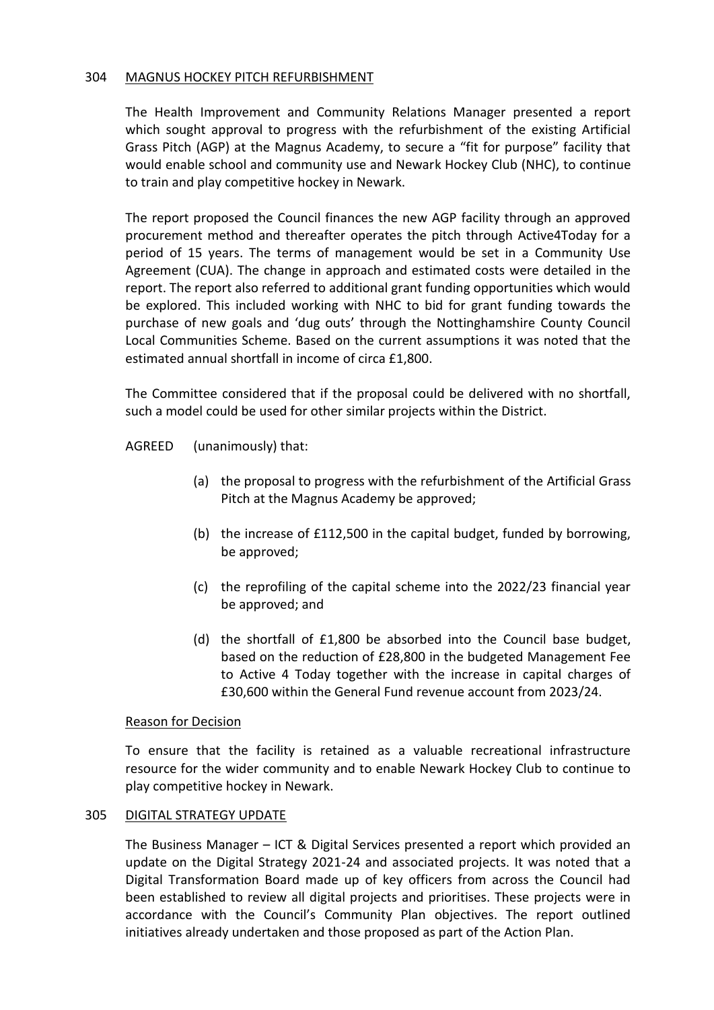#### 304 MAGNUS HOCKEY PITCH REFURBISHMENT

The Health Improvement and Community Relations Manager presented a report which sought approval to progress with the refurbishment of the existing Artificial Grass Pitch (AGP) at the Magnus Academy, to secure a "fit for purpose" facility that would enable school and community use and Newark Hockey Club (NHC), to continue to train and play competitive hockey in Newark.

The report proposed the Council finances the new AGP facility through an approved procurement method and thereafter operates the pitch through Active4Today for a period of 15 years. The terms of management would be set in a Community Use Agreement (CUA). The change in approach and estimated costs were detailed in the report. The report also referred to additional grant funding opportunities which would be explored. This included working with NHC to bid for grant funding towards the purchase of new goals and 'dug outs' through the Nottinghamshire County Council Local Communities Scheme. Based on the current assumptions it was noted that the estimated annual shortfall in income of circa £1,800.

The Committee considered that if the proposal could be delivered with no shortfall, such a model could be used for other similar projects within the District.

AGREED (unanimously) that:

- (a) the proposal to progress with the refurbishment of the Artificial Grass Pitch at the Magnus Academy be approved;
- (b) the increase of £112,500 in the capital budget, funded by borrowing, be approved;
- (c) the reprofiling of the capital scheme into the 2022/23 financial year be approved; and
- (d) the shortfall of  $£1,800$  be absorbed into the Council base budget, based on the reduction of £28,800 in the budgeted Management Fee to Active 4 Today together with the increase in capital charges of £30,600 within the General Fund revenue account from 2023/24.

# Reason for Decision

To ensure that the facility is retained as a valuable recreational infrastructure resource for the wider community and to enable Newark Hockey Club to continue to play competitive hockey in Newark.

# 305 DIGITAL STRATEGY UPDATE

The Business Manager – ICT & Digital Services presented a report which provided an update on the Digital Strategy 2021-24 and associated projects. It was noted that a Digital Transformation Board made up of key officers from across the Council had been established to review all digital projects and prioritises. These projects were in accordance with the Council's Community Plan objectives. The report outlined initiatives already undertaken and those proposed as part of the Action Plan.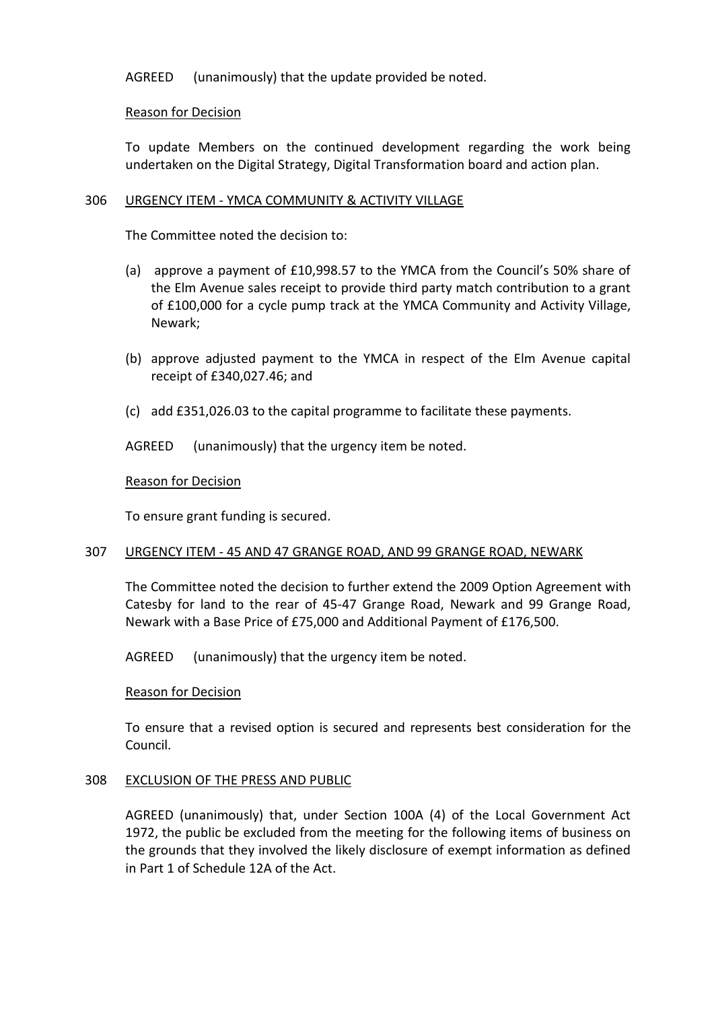AGREED (unanimously) that the update provided be noted.

# Reason for Decision

To update Members on the continued development regarding the work being undertaken on the Digital Strategy, Digital Transformation board and action plan.

# 306 URGENCY ITEM - YMCA COMMUNITY & ACTIVITY VILLAGE

The Committee noted the decision to:

- (a) approve a payment of £10,998.57 to the YMCA from the Council's 50% share of the Elm Avenue sales receipt to provide third party match contribution to a grant of £100,000 for a cycle pump track at the YMCA Community and Activity Village, Newark;
- (b) approve adjusted payment to the YMCA in respect of the Elm Avenue capital receipt of £340,027.46; and
- (c) add £351,026.03 to the capital programme to facilitate these payments.

AGREED (unanimously) that the urgency item be noted.

# Reason for Decision

To ensure grant funding is secured.

# 307 URGENCY ITEM - 45 AND 47 GRANGE ROAD, AND 99 GRANGE ROAD, NEWARK

The Committee noted the decision to further extend the 2009 Option Agreement with Catesby for land to the rear of 45-47 Grange Road, Newark and 99 Grange Road, Newark with a Base Price of £75,000 and Additional Payment of £176,500.

AGREED (unanimously) that the urgency item be noted.

# Reason for Decision

To ensure that a revised option is secured and represents best consideration for the Council.

# 308 EXCLUSION OF THE PRESS AND PUBLIC

AGREED (unanimously) that, under Section 100A (4) of the Local Government Act 1972, the public be excluded from the meeting for the following items of business on the grounds that they involved the likely disclosure of exempt information as defined in Part 1 of Schedule 12A of the Act.